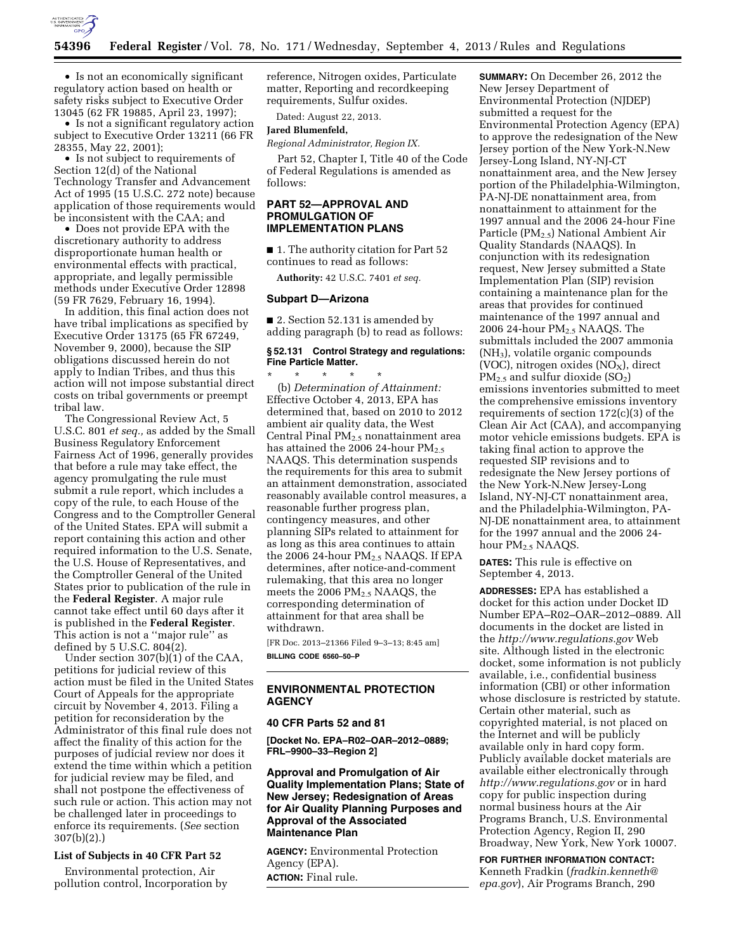

• Is not an economically significant regulatory action based on health or safety risks subject to Executive Order 13045 (62 FR 19885, April 23, 1997);

• Is not a significant regulatory action subject to Executive Order 13211 (66 FR 28355, May 22, 2001);

• Is not subject to requirements of Section 12(d) of the National Technology Transfer and Advancement Act of 1995 (15 U.S.C. 272 note) because application of those requirements would be inconsistent with the CAA; and

• Does not provide EPA with the discretionary authority to address disproportionate human health or environmental effects with practical, appropriate, and legally permissible methods under Executive Order 12898 (59 FR 7629, February 16, 1994).

In addition, this final action does not have tribal implications as specified by Executive Order 13175 (65 FR 67249, November 9, 2000), because the SIP obligations discussed herein do not apply to Indian Tribes, and thus this action will not impose substantial direct costs on tribal governments or preempt tribal law.

The Congressional Review Act, 5 U.S.C. 801 *et seq.,* as added by the Small Business Regulatory Enforcement Fairness Act of 1996, generally provides that before a rule may take effect, the agency promulgating the rule must submit a rule report, which includes a copy of the rule, to each House of the Congress and to the Comptroller General of the United States. EPA will submit a report containing this action and other required information to the U.S. Senate, the U.S. House of Representatives, and the Comptroller General of the United States prior to publication of the rule in the **Federal Register**. A major rule cannot take effect until 60 days after it is published in the **Federal Register**. This action is not a ''major rule'' as defined by 5 U.S.C. 804(2).

Under section 307(b)(1) of the CAA, petitions for judicial review of this action must be filed in the United States Court of Appeals for the appropriate circuit by November 4, 2013. Filing a petition for reconsideration by the Administrator of this final rule does not affect the finality of this action for the purposes of judicial review nor does it extend the time within which a petition for judicial review may be filed, and shall not postpone the effectiveness of such rule or action. This action may not be challenged later in proceedings to enforce its requirements. (*See* section 307(b)(2).)

#### **List of Subjects in 40 CFR Part 52**

Environmental protection, Air pollution control, Incorporation by reference, Nitrogen oxides, Particulate matter, Reporting and recordkeeping requirements, Sulfur oxides.

Dated: August 22, 2013.

# **Jared Blumenfeld,**

*Regional Administrator, Region IX.* 

Part 52, Chapter I, Title 40 of the Code of Federal Regulations is amended as follows:

# **PART 52—APPROVAL AND PROMULGATION OF IMPLEMENTATION PLANS**

■ 1. The authority citation for Part 52 continues to read as follows:

**Authority:** 42 U.S.C. 7401 *et seq.* 

#### **Subpart D—Arizona**

■ 2. Section 52.131 is amended by adding paragraph (b) to read as follows:

# **§ 52.131 Control Strategy and regulations: Fine Particle Matter.**

\* \* \* \* \* (b) *Determination of Attainment:*  Effective October 4, 2013, EPA has determined that, based on 2010 to 2012 ambient air quality data, the West Central Pinal  $PM<sub>2.5</sub>$  nonattainment area has attained the 2006 24-hour  $PM_{2.5}$ NAAQS. This determination suspends the requirements for this area to submit an attainment demonstration, associated reasonably available control measures, a reasonable further progress plan, contingency measures, and other planning SIPs related to attainment for as long as this area continues to attain the 2006 24-hour PM<sub>2.5</sub> NAAQS. If EPA determines, after notice-and-comment rulemaking, that this area no longer meets the 2006 PM2.5 NAAQS, the corresponding determination of attainment for that area shall be withdrawn.

[FR Doc. 2013–21366 Filed 9–3–13; 8:45 am] **BILLING CODE 6560–50–P** 

# **ENVIRONMENTAL PROTECTION AGENCY**

#### **40 CFR Parts 52 and 81**

**[Docket No. EPA–R02–OAR–2012–0889; FRL–9900–33–Region 2]** 

**Approval and Promulgation of Air Quality Implementation Plans; State of New Jersey; Redesignation of Areas for Air Quality Planning Purposes and Approval of the Associated Maintenance Plan** 

**AGENCY:** Environmental Protection Agency (EPA). **ACTION:** Final rule.

**SUMMARY:** On December 26, 2012 the New Jersey Department of Environmental Protection (NJDEP) submitted a request for the Environmental Protection Agency (EPA) to approve the redesignation of the New Jersey portion of the New York-N.New Jersey-Long Island, NY-NJ-CT nonattainment area, and the New Jersey portion of the Philadelphia-Wilmington, PA-NJ-DE nonattainment area, from nonattainment to attainment for the 1997 annual and the 2006 24-hour Fine Particle (PM2.5) National Ambient Air Quality Standards (NAAQS). In conjunction with its redesignation request, New Jersey submitted a State Implementation Plan (SIP) revision containing a maintenance plan for the areas that provides for continued maintenance of the 1997 annual and 2006 24-hour PM2.5 NAAQS. The submittals included the 2007 ammonia (NH3), volatile organic compounds (VOC), nitrogen oxides  $(NO<sub>x</sub>)$ , direct  $PM_{2.5}$  and sulfur dioxide  $(SO_2)$ emissions inventories submitted to meet the comprehensive emissions inventory requirements of section 172(c)(3) of the Clean Air Act (CAA), and accompanying motor vehicle emissions budgets. EPA is taking final action to approve the requested SIP revisions and to redesignate the New Jersey portions of the New York-N.New Jersey-Long Island, NY-NJ-CT nonattainment area, and the Philadelphia-Wilmington, PA-NJ-DE nonattainment area, to attainment for the 1997 annual and the 2006 24 hour PM2.5 NAAQS.

**DATES:** This rule is effective on September 4, 2013.

**ADDRESSES:** EPA has established a docket for this action under Docket ID Number EPA–R02–OAR–2012–0889. All documents in the docket are listed in the *<http://www.regulations.gov>*Web site. Although listed in the electronic docket, some information is not publicly available, i.e., confidential business information (CBI) or other information whose disclosure is restricted by statute. Certain other material, such as copyrighted material, is not placed on the Internet and will be publicly available only in hard copy form. Publicly available docket materials are available either electronically through *<http://www.regulations.gov>* or in hard copy for public inspection during normal business hours at the Air Programs Branch, U.S. Environmental Protection Agency, Region II, 290 Broadway, New York, New York 10007.

**FOR FURTHER INFORMATION CONTACT:**  Kenneth Fradkin (*[fradkin.kenneth@](mailto:fradkin.kenneth@epa.gov) [epa.gov](mailto:fradkin.kenneth@epa.gov)*), Air Programs Branch, 290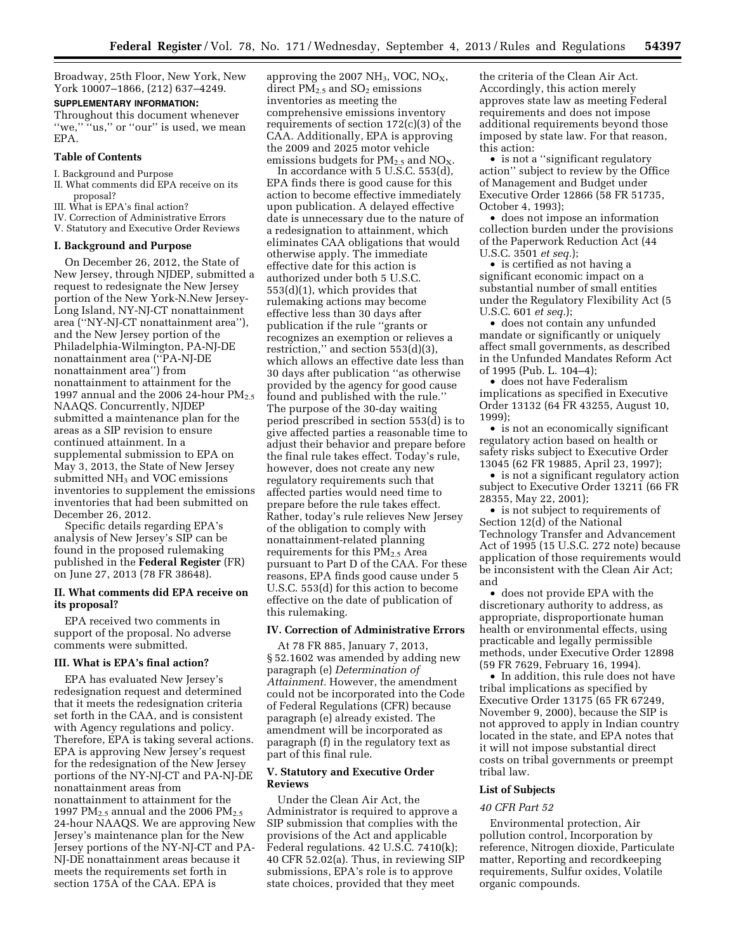Broadway, 25th Floor, New York, New York 10007–1866, (212) 637–4249.

### **SUPPLEMENTARY INFORMATION:**

Throughout this document whenever "we," "us," or "our" is used, we mean EPA.

#### **Table of Contents**

- I. Background and Purpose
- II. What comments did EPA receive on its proposal?
- III. What is EPA's final action?
- IV. Correction of Administrative Errors
- V. Statutory and Executive Order Reviews

#### **I. Background and Purpose**

On December 26, 2012, the State of New Jersey, through NJDEP, submitted a request to redesignate the New Jersey portion of the New York-N.New Jersey-Long Island, NY-NJ-CT nonattainment area (''NY-NJ-CT nonattainment area''), and the New Jersey portion of the Philadelphia-Wilmington, PA-NJ-DE nonattainment area (''PA-NJ-DE nonattainment area'') from nonattainment to attainment for the 1997 annual and the 2006 24-hour  $PM_{2.5}$ NAAQS. Concurrently, NJDEP submitted a maintenance plan for the areas as a SIP revision to ensure continued attainment. In a supplemental submission to EPA on May 3, 2013, the State of New Jersey submitted NH<sub>3</sub> and VOC emissions inventories to supplement the emissions inventories that had been submitted on December 26, 2012.

Specific details regarding EPA's analysis of New Jersey's SIP can be found in the proposed rulemaking published in the **Federal Register** (FR) on June 27, 2013 (78 FR 38648).

# **II. What comments did EPA receive on its proposal?**

EPA received two comments in support of the proposal. No adverse comments were submitted.

#### **III. What is EPA's final action?**

EPA has evaluated New Jersey's redesignation request and determined that it meets the redesignation criteria set forth in the CAA, and is consistent with Agency regulations and policy. Therefore, EPA is taking several actions. EPA is approving New Jersey's request for the redesignation of the New Jersey portions of the NY-NJ-CT and PA-NJ-DE nonattainment areas from nonattainment to attainment for the 1997 PM $_{2.5}$  annual and the 2006 PM $_{2.5}$ 24-hour NAAQS. We are approving New Jersey's maintenance plan for the New Jersey portions of the NY-NJ-CT and PA-NJ-DE nonattainment areas because it meets the requirements set forth in section 175A of the CAA. EPA is

approving the 2007 NH<sub>3</sub>, VOC, NO<sub>X</sub>, direct  $PM_{2.5}$  and  $SO_2$  emissions inventories as meeting the comprehensive emissions inventory requirements of section 172(c)(3) of the CAA. Additionally, EPA is approving the 2009 and 2025 motor vehicle emissions budgets for  $PM_{2.5}$  and  $NO_{X}$ .

In accordance with 5 U.S.C. 553(d), EPA finds there is good cause for this action to become effective immediately upon publication. A delayed effective date is unnecessary due to the nature of a redesignation to attainment, which eliminates CAA obligations that would otherwise apply. The immediate effective date for this action is authorized under both 5 U.S.C. 553(d)(1), which provides that rulemaking actions may become effective less than 30 days after publication if the rule ''grants or recognizes an exemption or relieves a restriction,'' and section 553(d)(3), which allows an effective date less than 30 days after publication ''as otherwise provided by the agency for good cause found and published with the rule.'' The purpose of the 30-day waiting period prescribed in section 553(d) is to give affected parties a reasonable time to adjust their behavior and prepare before the final rule takes effect. Today's rule, however, does not create any new regulatory requirements such that affected parties would need time to prepare before the rule takes effect. Rather, today's rule relieves New Jersey of the obligation to comply with nonattainment-related planning requirements for this PM2.5 Area pursuant to Part D of the CAA. For these reasons, EPA finds good cause under 5 U.S.C. 553(d) for this action to become effective on the date of publication of this rulemaking.

#### **IV. Correction of Administrative Errors**

At 78 FR 885, January 7, 2013, § 52.1602 was amended by adding new paragraph (e) *Determination of Attainment.* However, the amendment could not be incorporated into the Code of Federal Regulations (CFR) because paragraph (e) already existed. The amendment will be incorporated as paragraph (f) in the regulatory text as part of this final rule.

## **V. Statutory and Executive Order Reviews**

Under the Clean Air Act, the Administrator is required to approve a SIP submission that complies with the provisions of the Act and applicable Federal regulations. 42 U.S.C. 7410(k); 40 CFR 52.02(a). Thus, in reviewing SIP submissions, EPA's role is to approve state choices, provided that they meet

the criteria of the Clean Air Act. Accordingly, this action merely approves state law as meeting Federal requirements and does not impose additional requirements beyond those imposed by state law. For that reason, this action:

• is not a ''significant regulatory action'' subject to review by the Office of Management and Budget under Executive Order 12866 (58 FR 51735, October 4, 1993);

• does not impose an information collection burden under the provisions of the Paperwork Reduction Act (44 U.S.C. 3501 *et seq.*);

• is certified as not having a significant economic impact on a substantial number of small entities under the Regulatory Flexibility Act (5 U.S.C. 601 *et seq.*);

• does not contain any unfunded mandate or significantly or uniquely affect small governments, as described in the Unfunded Mandates Reform Act of 1995 (Pub. L. 104–4);

• does not have Federalism implications as specified in Executive Order 13132 (64 FR 43255, August 10, 1999);

• is not an economically significant regulatory action based on health or safety risks subject to Executive Order 13045 (62 FR 19885, April 23, 1997);

• is not a significant regulatory action subject to Executive Order 13211 (66 FR 28355, May 22, 2001);

• is not subject to requirements of Section 12(d) of the National Technology Transfer and Advancement Act of 1995 (15 U.S.C. 272 note) because application of those requirements would be inconsistent with the Clean Air Act; and

• does not provide EPA with the discretionary authority to address, as appropriate, disproportionate human health or environmental effects, using practicable and legally permissible methods, under Executive Order 12898 (59 FR 7629, February 16, 1994).

• In addition, this rule does not have tribal implications as specified by Executive Order 13175 (65 FR 67249, November 9, 2000), because the SIP is not approved to apply in Indian country located in the state, and EPA notes that it will not impose substantial direct costs on tribal governments or preempt tribal law.

# **List of Subjects**

## *40 CFR Part 52*

Environmental protection, Air pollution control, Incorporation by reference, Nitrogen dioxide, Particulate matter, Reporting and recordkeeping requirements, Sulfur oxides, Volatile organic compounds.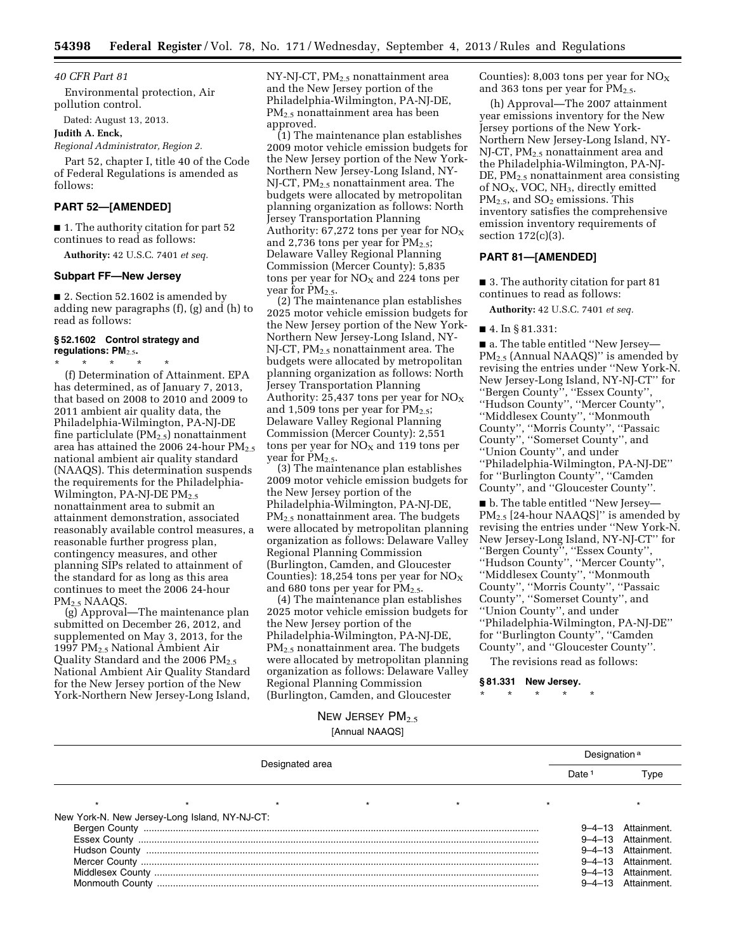#### *40 CFR Part 81*

Environmental protection, Air pollution control.

Dated: August 13, 2013.

#### **Judith A. Enck,**

*Regional Administrator, Region 2.* 

Part 52, chapter I, title 40 of the Code of Federal Regulations is amended as follows:

# **PART 52—[AMENDED]**

■ 1. The authority citation for part 52 continues to read as follows:

**Authority:** 42 U.S.C. 7401 *et seq.* 

# **Subpart FF—New Jersey**

■ 2. Section 52.1602 is amended by adding new paragraphs (f), (g) and (h) to read as follows:

# **§ 52.1602 Control strategy and regulations: PM**2.5**.**

\* \* \* \* \* (f) Determination of Attainment. EPA has determined, as of January 7, 2013, that based on 2008 to 2010 and 2009 to 2011 ambient air quality data, the Philadelphia-Wilmington, PA-NJ-DE fine particlulate  $(PM_{2.5})$  nonattainment area has attained the 2006 24-hour  $PM_{2.5}$ national ambient air quality standard (NAAQS). This determination suspends the requirements for the Philadelphia-Wilmington, PA-NJ-DE  $PM_{2.5}$ nonattainment area to submit an attainment demonstration, associated reasonably available control measures, a reasonable further progress plan, contingency measures, and other planning SIPs related to attainment of the standard for as long as this area continues to meet the 2006 24-hour PM2.5 NAAQS.

(g) Approval—The maintenance plan submitted on December 26, 2012, and supplemented on May 3, 2013, for the 1997 PM2.5 National Ambient Air Quality Standard and the 2006 PM<sub>2.5</sub> National Ambient Air Quality Standard for the New Jersey portion of the New York-Northern New Jersey-Long Island, NY-NJ-CT, PM2.5 nonattainment area and the New Jersey portion of the Philadelphia-Wilmington, PA-NJ-DE, PM2.5 nonattainment area has been approved.

(1) The maintenance plan establishes 2009 motor vehicle emission budgets for the New Jersey portion of the New York-Northern New Jersey-Long Island, NY-NJ-CT, PM<sub>2.5</sub> nonattainment area. The budgets were allocated by metropolitan planning organization as follows: North Jersey Transportation Planning Authority: 67,272 tons per year for  $NO<sub>x</sub>$ and 2,736 tons per year for  $PM_{2.5}$ ; Delaware Valley Regional Planning Commission (Mercer County): 5,835 tons per year for  $NO<sub>x</sub>$  and 224 tons per year for PM<sub>2.5</sub>.

(2) The maintenance plan establishes 2025 motor vehicle emission budgets for the New Jersey portion of the New York-Northern New Jersey-Long Island, NY-NJ-CT, PM<sub>2.5</sub> nonattainment area. The budgets were allocated by metropolitan planning organization as follows: North Jersey Transportation Planning Authority: 25,437 tons per year for  $NO<sub>x</sub>$ and 1,509 tons per year for  $PM_{2.5}$ ; Delaware Valley Regional Planning Commission (Mercer County): 2,551 tons per year for  $NO<sub>X</sub>$  and 119 tons per year for  $PM_{2.5}$ .

(3) The maintenance plan establishes 2009 motor vehicle emission budgets for the New Jersey portion of the Philadelphia-Wilmington, PA-NJ-DE, PM<sub>2.5</sub> nonattainment area. The budgets were allocated by metropolitan planning organization as follows: Delaware Valley Regional Planning Commission (Burlington, Camden, and Gloucester Counties): 18,254 tons per year for  $NO<sub>x</sub>$ and 680 tons per year for  $PM_{2.5}$ .

(4) The maintenance plan establishes 2025 motor vehicle emission budgets for the New Jersey portion of the Philadelphia-Wilmington, PA-NJ-DE, PM2.5 nonattainment area. The budgets were allocated by metropolitan planning organization as follows: Delaware Valley Regional Planning Commission (Burlington, Camden, and Gloucester

Counties): 8,003 tons per year for  $NO<sub>x</sub>$ and 363 tons per year for  $PM_{2.5}$ .

(h) Approval—The 2007 attainment year emissions inventory for the New Jersey portions of the New York-Northern New Jersey-Long Island, NY-NJ-CT, PM<sub>2.5</sub> nonattainment area and the Philadelphia-Wilmington, PA-NJ- $DE$ ,  $PM<sub>2.5</sub>$  nonattainment area consisting of NO<sub>X</sub>, VOC, NH<sub>3</sub>, directly emitted  $PM_{2.5}$ , and  $SO_2$  emissions. This inventory satisfies the comprehensive emission inventory requirements of section 172(c)(3).

# **PART 81—[AMENDED]**

■ 3. The authority citation for part 81 continues to read as follows:

**Authority:** 42 U.S.C. 7401 *et seq.* 

#### ■ 4. In § 81.331:

■ a. The table entitled ''New Jersey— PM<sub>2.5</sub> (Annual NAAQS)" is amended by revising the entries under ''New York-N. New Jersey-Long Island, NY-NJ-CT'' for ''Bergen County'', ''Essex County'', ''Hudson County'', ''Mercer County'', ''Middlesex County'', ''Monmouth County'', ''Morris County'', ''Passaic County'', ''Somerset County'', and ''Union County'', and under ''Philadelphia-Wilmington, PA-NJ-DE'' for ''Burlington County'', ''Camden County'', and ''Gloucester County''.

■ b. The table entitled ''New Jersey— PM<sub>2.5</sub> [24-hour NAAQS]" is amended by revising the entries under ''New York-N. New Jersey-Long Island, NY-NJ-CT'' for ''Bergen County'', ''Essex County'', ''Hudson County'', ''Mercer County'', ''Middlesex County'', ''Monmouth County'', ''Morris County'', ''Passaic County'', ''Somerset County'', and ''Union County'', and under ''Philadelphia-Wilmington, PA-NJ-DE'' for ''Burlington County'', ''Camden County'', and ''Gloucester County''.

The revisions read as follows:

**§ 81.331 New Jersey.** 

\* \* \* \* \*

NEW JERSEY  $PM<sub>2.5</sub>$ [Annual NAAQS]

| Designated area                               |  |  |  |  | Designation <sup>a</sup> |                    |  |
|-----------------------------------------------|--|--|--|--|--------------------------|--------------------|--|
|                                               |  |  |  |  | Date                     | ype                |  |
|                                               |  |  |  |  |                          |                    |  |
| New York-N. New Jersey-Long Island, NY-NJ-CT: |  |  |  |  |                          |                    |  |
|                                               |  |  |  |  |                          | 9-4-13 Attainment. |  |
|                                               |  |  |  |  |                          | 9-4-13 Attainment. |  |
|                                               |  |  |  |  |                          | 9-4-13 Attainment. |  |
|                                               |  |  |  |  |                          | 9-4-13 Attainment. |  |
|                                               |  |  |  |  |                          | 9-4-13 Attainment. |  |
|                                               |  |  |  |  |                          | 9-4-13 Attainment. |  |